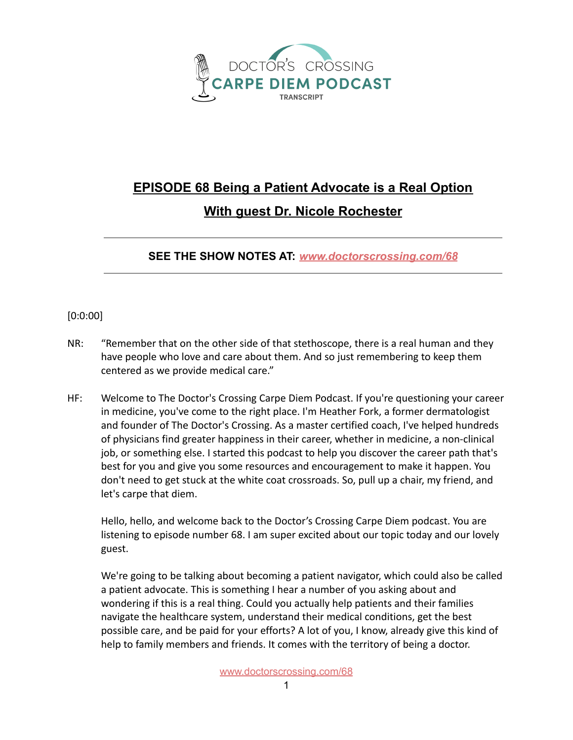

## **EPISODE 68 Being a Patient Advocate is a Real Option With guest Dr. Nicole Rochester**

**SEE THE SHOW NOTES AT:** *[www.doctorscrossing.com/68](http://www.doctorscrossing.com/68)*

## [0:0:00]

- NR: "Remember that on the other side of that stethoscope, there is a real human and they have people who love and care about them. And so just remembering to keep them centered as we provide medical care."
- HF: Welcome to The Doctor's Crossing Carpe Diem Podcast. If you're questioning your career in medicine, you've come to the right place. I'm Heather Fork, a former dermatologist and founder of The Doctor's Crossing. As a master certified coach, I've helped hundreds of physicians find greater happiness in their career, whether in medicine, a non-clinical job, or something else. I started this podcast to help you discover the career path that's best for you and give you some resources and encouragement to make it happen. You don't need to get stuck at the white coat crossroads. So, pull up a chair, my friend, and let's carpe that diem.

Hello, hello, and welcome back to the Doctor's Crossing Carpe Diem podcast. You are listening to episode number 68. I am super excited about our topic today and our lovely guest.

We're going to be talking about becoming a patient navigator, which could also be called a patient advocate. This is something I hear a number of you asking about and wondering if this is a real thing. Could you actually help patients and their families navigate the healthcare system, understand their medical conditions, get the best possible care, and be paid for your efforts? A lot of you, I know, already give this kind of help to family members and friends. It comes with the territory of being a doctor.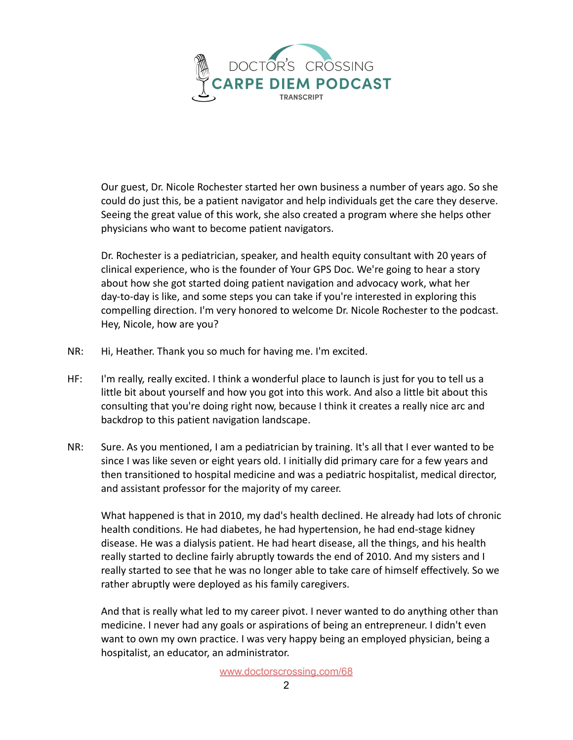

Our guest, Dr. Nicole Rochester started her own business a number of years ago. So she could do just this, be a patient navigator and help individuals get the care they deserve. Seeing the great value of this work, she also created a program where she helps other physicians who want to become patient navigators.

Dr. Rochester is a pediatrician, speaker, and health equity consultant with 20 years of clinical experience, who is the founder of Your GPS Doc. We're going to hear a story about how she got started doing patient navigation and advocacy work, what her day-to-day is like, and some steps you can take if you're interested in exploring this compelling direction. I'm very honored to welcome Dr. Nicole Rochester to the podcast. Hey, Nicole, how are you?

- NR: Hi, Heather. Thank you so much for having me. I'm excited.
- HF: I'm really, really excited. I think a wonderful place to launch is just for you to tell us a little bit about yourself and how you got into this work. And also a little bit about this consulting that you're doing right now, because I think it creates a really nice arc and backdrop to this patient navigation landscape.
- NR: Sure. As you mentioned, I am a pediatrician by training. It's all that I ever wanted to be since I was like seven or eight years old. I initially did primary care for a few years and then transitioned to hospital medicine and was a pediatric hospitalist, medical director, and assistant professor for the majority of my career.

What happened is that in 2010, my dad's health declined. He already had lots of chronic health conditions. He had diabetes, he had hypertension, he had end-stage kidney disease. He was a dialysis patient. He had heart disease, all the things, and his health really started to decline fairly abruptly towards the end of 2010. And my sisters and I really started to see that he was no longer able to take care of himself effectively. So we rather abruptly were deployed as his family caregivers.

And that is really what led to my career pivot. I never wanted to do anything other than medicine. I never had any goals or aspirations of being an entrepreneur. I didn't even want to own my own practice. I was very happy being an employed physician, being a hospitalist, an educator, an administrator.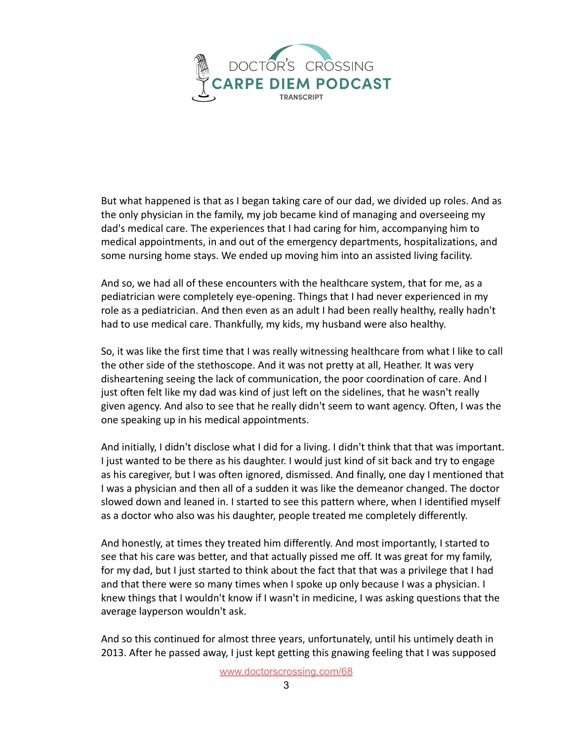

But what happened is that as I began taking care of our dad, we divided up roles. And as the only physician in the family, my job became kind of managing and overseeing my dad's medical care. The experiences that I had caring for him, accompanying him to medical appointments, in and out of the emergency departments, hospitalizations, and some nursing home stays. We ended up moving him into an assisted living facility.

And so, we had all of these encounters with the healthcare system, that for me, as a pediatrician were completely eye-opening. Things that I had never experienced in my role as a pediatrician. And then even as an adult I had been really healthy, really hadn't had to use medical care. Thankfully, my kids, my husband were also healthy.

So, it was like the first time that I was really witnessing healthcare from what I like to call the other side of the stethoscope. And it was not pretty at all, Heather. It was very disheartening seeing the lack of communication, the poor coordination of care. And I just often felt like my dad was kind of just left on the sidelines, that he wasn't really given agency. And also to see that he really didn't seem to want agency. Often, I was the one speaking up in his medical appointments.

And initially, I didn't disclose what I did for a living. I didn't think that that was important. I just wanted to be there as his daughter. I would just kind of sit back and try to engage as his caregiver, but I was often ignored, dismissed. And finally, one day I mentioned that I was a physician and then all of a sudden it was like the demeanor changed. The doctor slowed down and leaned in. I started to see this pattern where, when I identified myself as a doctor who also was his daughter, people treated me completely differently.

And honestly, at times they treated him differently. And most importantly, I started to see that his care was better, and that actually pissed me off. It was great for my family, for my dad, but I just started to think about the fact that that was a privilege that I had and that there were so many times when I spoke up only because I was a physician. I knew things that I wouldn't know if I wasn't in medicine, I was asking questions that the average layperson wouldn't ask.

And so this continued for almost three years, unfortunately, until his untimely death in 2013. After he passed away, I just kept getting this gnawing feeling that I was supposed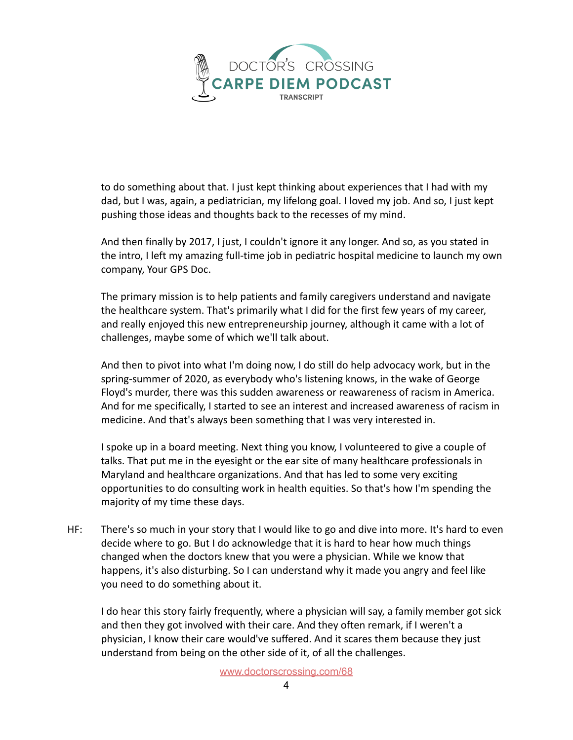

to do something about that. I just kept thinking about experiences that I had with my dad, but I was, again, a pediatrician, my lifelong goal. I loved my job. And so, I just kept pushing those ideas and thoughts back to the recesses of my mind.

And then finally by 2017, I just, I couldn't ignore it any longer. And so, as you stated in the intro, I left my amazing full-time job in pediatric hospital medicine to launch my own company, Your GPS Doc.

The primary mission is to help patients and family caregivers understand and navigate the healthcare system. That's primarily what I did for the first few years of my career, and really enjoyed this new entrepreneurship journey, although it came with a lot of challenges, maybe some of which we'll talk about.

And then to pivot into what I'm doing now, I do still do help advocacy work, but in the spring-summer of 2020, as everybody who's listening knows, in the wake of George Floyd's murder, there was this sudden awareness or reawareness of racism in America. And for me specifically, I started to see an interest and increased awareness of racism in medicine. And that's always been something that I was very interested in.

I spoke up in a board meeting. Next thing you know, I volunteered to give a couple of talks. That put me in the eyesight or the ear site of many healthcare professionals in Maryland and healthcare organizations. And that has led to some very exciting opportunities to do consulting work in health equities. So that's how I'm spending the majority of my time these days.

HF: There's so much in your story that I would like to go and dive into more. It's hard to even decide where to go. But I do acknowledge that it is hard to hear how much things changed when the doctors knew that you were a physician. While we know that happens, it's also disturbing. So I can understand why it made you angry and feel like you need to do something about it.

I do hear this story fairly frequently, where a physician will say, a family member got sick and then they got involved with their care. And they often remark, if I weren't a physician, I know their care would've suffered. And it scares them because they just understand from being on the other side of it, of all the challenges.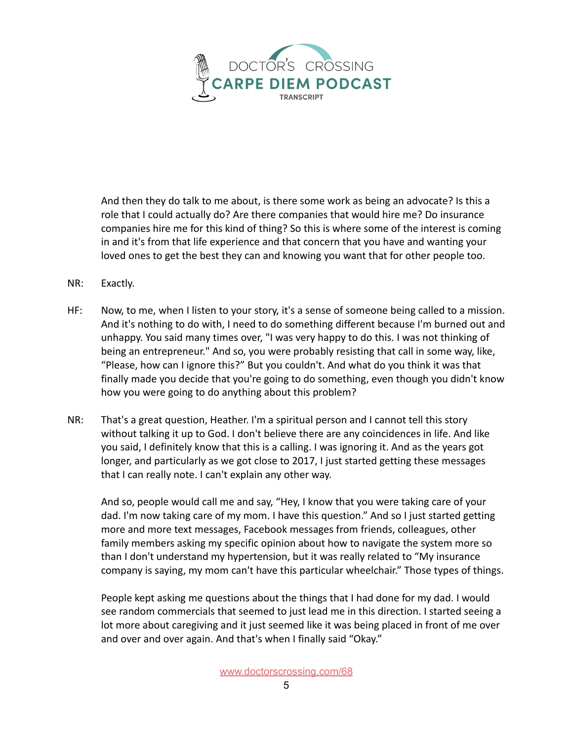

And then they do talk to me about, is there some work as being an advocate? Is this a role that I could actually do? Are there companies that would hire me? Do insurance companies hire me for this kind of thing? So this is where some of the interest is coming in and it's from that life experience and that concern that you have and wanting your loved ones to get the best they can and knowing you want that for other people too.

- NR: Exactly.
- HF: Now, to me, when I listen to your story, it's a sense of someone being called to a mission. And it's nothing to do with, I need to do something different because I'm burned out and unhappy. You said many times over, "I was very happy to do this. I was not thinking of being an entrepreneur." And so, you were probably resisting that call in some way, like, "Please, how can I ignore this?" But you couldn't. And what do you think it was that finally made you decide that you're going to do something, even though you didn't know how you were going to do anything about this problem?
- NR: That's a great question, Heather. I'm a spiritual person and I cannot tell this story without talking it up to God. I don't believe there are any coincidences in life. And like you said, I definitely know that this is a calling. I was ignoring it. And as the years got longer, and particularly as we got close to 2017, I just started getting these messages that I can really note. I can't explain any other way.

And so, people would call me and say, "Hey, I know that you were taking care of your dad. I'm now taking care of my mom. I have this question." And so I just started getting more and more text messages, Facebook messages from friends, colleagues, other family members asking my specific opinion about how to navigate the system more so than I don't understand my hypertension, but it was really related to "My insurance company is saying, my mom can't have this particular wheelchair." Those types of things.

People kept asking me questions about the things that I had done for my dad. I would see random commercials that seemed to just lead me in this direction. I started seeing a lot more about caregiving and it just seemed like it was being placed in front of me over and over and over again. And that's when I finally said "Okay."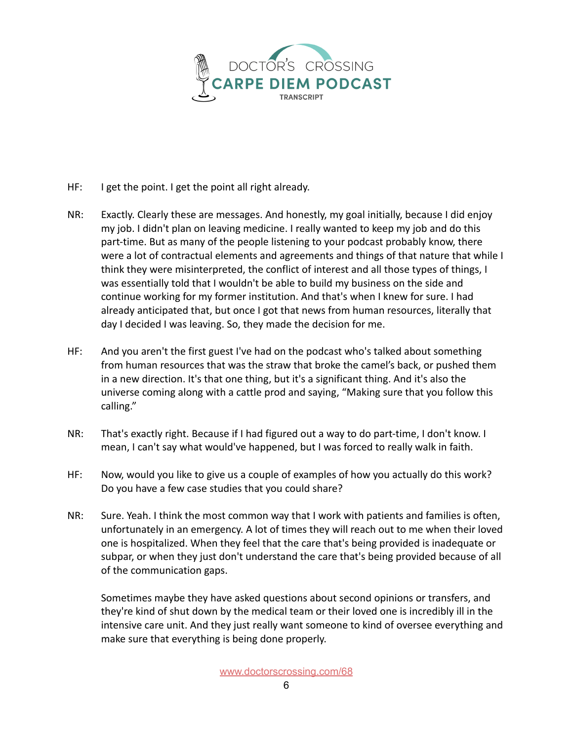

- HF: I get the point. I get the point all right already.
- NR: Exactly. Clearly these are messages. And honestly, my goal initially, because I did enjoy my job. I didn't plan on leaving medicine. I really wanted to keep my job and do this part-time. But as many of the people listening to your podcast probably know, there were a lot of contractual elements and agreements and things of that nature that while I think they were misinterpreted, the conflict of interest and all those types of things, I was essentially told that I wouldn't be able to build my business on the side and continue working for my former institution. And that's when I knew for sure. I had already anticipated that, but once I got that news from human resources, literally that day I decided I was leaving. So, they made the decision for me.
- HF: And you aren't the first guest I've had on the podcast who's talked about something from human resources that was the straw that broke the camel's back, or pushed them in a new direction. It's that one thing, but it's a significant thing. And it's also the universe coming along with a cattle prod and saying, "Making sure that you follow this calling."
- NR: That's exactly right. Because if I had figured out a way to do part-time, I don't know. I mean, I can't say what would've happened, but I was forced to really walk in faith.
- HF: Now, would you like to give us a couple of examples of how you actually do this work? Do you have a few case studies that you could share?
- NR: Sure. Yeah. I think the most common way that I work with patients and families is often, unfortunately in an emergency. A lot of times they will reach out to me when their loved one is hospitalized. When they feel that the care that's being provided is inadequate or subpar, or when they just don't understand the care that's being provided because of all of the communication gaps.

Sometimes maybe they have asked questions about second opinions or transfers, and they're kind of shut down by the medical team or their loved one is incredibly ill in the intensive care unit. And they just really want someone to kind of oversee everything and make sure that everything is being done properly.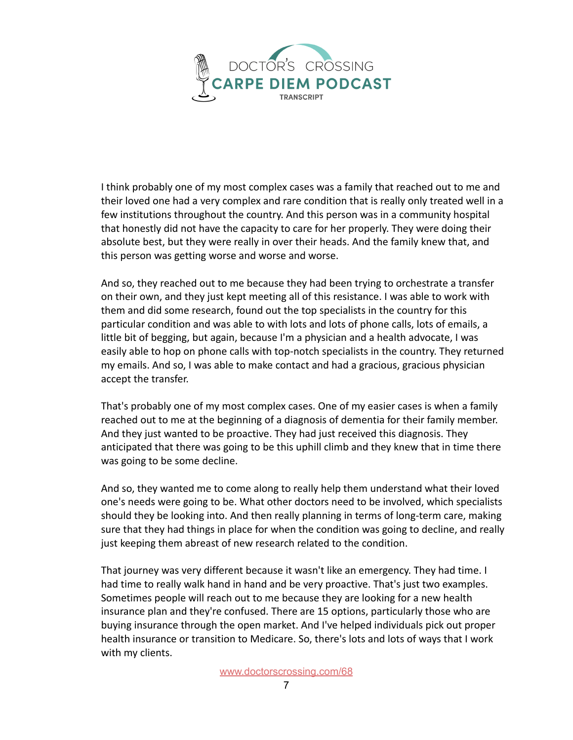

I think probably one of my most complex cases was a family that reached out to me and their loved one had a very complex and rare condition that is really only treated well in a few institutions throughout the country. And this person was in a community hospital that honestly did not have the capacity to care for her properly. They were doing their absolute best, but they were really in over their heads. And the family knew that, and this person was getting worse and worse and worse.

And so, they reached out to me because they had been trying to orchestrate a transfer on their own, and they just kept meeting all of this resistance. I was able to work with them and did some research, found out the top specialists in the country for this particular condition and was able to with lots and lots of phone calls, lots of emails, a little bit of begging, but again, because I'm a physician and a health advocate, I was easily able to hop on phone calls with top-notch specialists in the country. They returned my emails. And so, I was able to make contact and had a gracious, gracious physician accept the transfer.

That's probably one of my most complex cases. One of my easier cases is when a family reached out to me at the beginning of a diagnosis of dementia for their family member. And they just wanted to be proactive. They had just received this diagnosis. They anticipated that there was going to be this uphill climb and they knew that in time there was going to be some decline.

And so, they wanted me to come along to really help them understand what their loved one's needs were going to be. What other doctors need to be involved, which specialists should they be looking into. And then really planning in terms of long-term care, making sure that they had things in place for when the condition was going to decline, and really just keeping them abreast of new research related to the condition.

That journey was very different because it wasn't like an emergency. They had time. I had time to really walk hand in hand and be very proactive. That's just two examples. Sometimes people will reach out to me because they are looking for a new health insurance plan and they're confused. There are 15 options, particularly those who are buying insurance through the open market. And I've helped individuals pick out proper health insurance or transition to Medicare. So, there's lots and lots of ways that I work with my clients.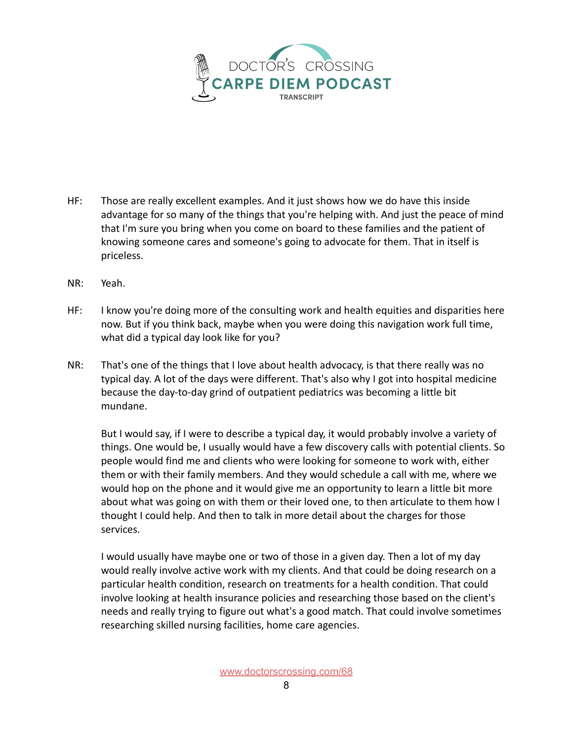

- HF: Those are really excellent examples. And it just shows how we do have this inside advantage for so many of the things that you're helping with. And just the peace of mind that I'm sure you bring when you come on board to these families and the patient of knowing someone cares and someone's going to advocate for them. That in itself is priceless.
- NR: Yeah.
- HF: I know you're doing more of the consulting work and health equities and disparities here now. But if you think back, maybe when you were doing this navigation work full time, what did a typical day look like for you?
- NR: That's one of the things that I love about health advocacy, is that there really was no typical day. A lot of the days were different. That's also why I got into hospital medicine because the day-to-day grind of outpatient pediatrics was becoming a little bit mundane.

But I would say, if I were to describe a typical day, it would probably involve a variety of things. One would be, I usually would have a few discovery calls with potential clients. So people would find me and clients who were looking for someone to work with, either them or with their family members. And they would schedule a call with me, where we would hop on the phone and it would give me an opportunity to learn a little bit more about what was going on with them or their loved one, to then articulate to them how I thought I could help. And then to talk in more detail about the charges for those services.

I would usually have maybe one or two of those in a given day. Then a lot of my day would really involve active work with my clients. And that could be doing research on a particular health condition, research on treatments for a health condition. That could involve looking at health insurance policies and researching those based on the client's needs and really trying to figure out what's a good match. That could involve sometimes researching skilled nursing facilities, home care agencies.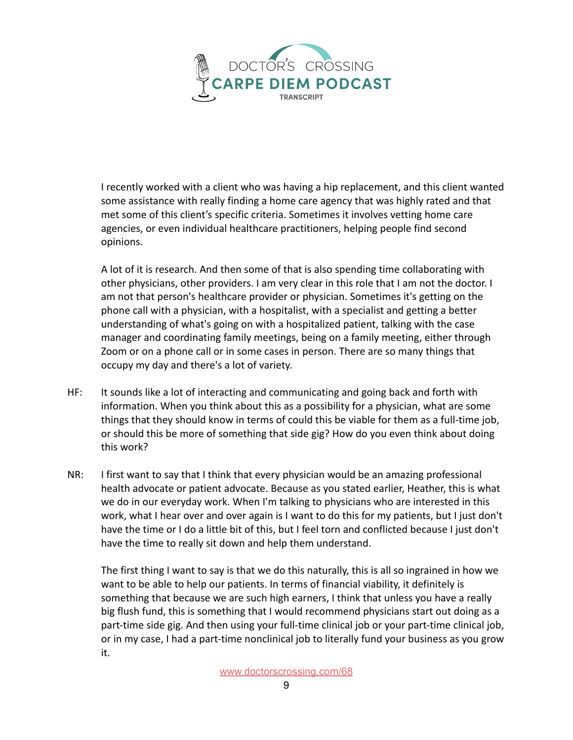

I recently worked with a client who was having a hip replacement, and this client wanted some assistance with really finding a home care agency that was highly rated and that met some of this client's specific criteria. Sometimes it involves vetting home care agencies, or even individual healthcare practitioners, helping people find second opinions.

A lot of it is research. And then some of that is also spending time collaborating with other physicians, other providers. I am very clear in this role that I am not the doctor. I am not that person's healthcare provider or physician. Sometimes it's getting on the phone call with a physician, with a hospitalist, with a specialist and getting a better understanding of what's going on with a hospitalized patient, talking with the case manager and coordinating family meetings, being on a family meeting, either through Zoom or on a phone call or in some cases in person. There are so many things that occupy my day and there's a lot of variety.

- HF: It sounds like a lot of interacting and communicating and going back and forth with information. When you think about this as a possibility for a physician, what are some things that they should know in terms of could this be viable for them as a full-time job, or should this be more of something that side gig? How do you even think about doing this work?
- NR: I first want to say that I think that every physician would be an amazing professional health advocate or patient advocate. Because as you stated earlier, Heather, this is what we do in our everyday work. When I'm talking to physicians who are interested in this work, what I hear over and over again is I want to do this for my patients, but I just don't have the time or I do a little bit of this, but I feel torn and conflicted because I just don't have the time to really sit down and help them understand.

The first thing I want to say is that we do this naturally, this is all so ingrained in how we want to be able to help our patients. In terms of financial viability, it definitely is something that because we are such high earners, I think that unless you have a really big flush fund, this is something that I would recommend physicians start out doing as a part-time side gig. And then using your full-time clinical job or your part-time clinical job, or in my case, I had a part-time nonclinical job to literally fund your business as you grow it.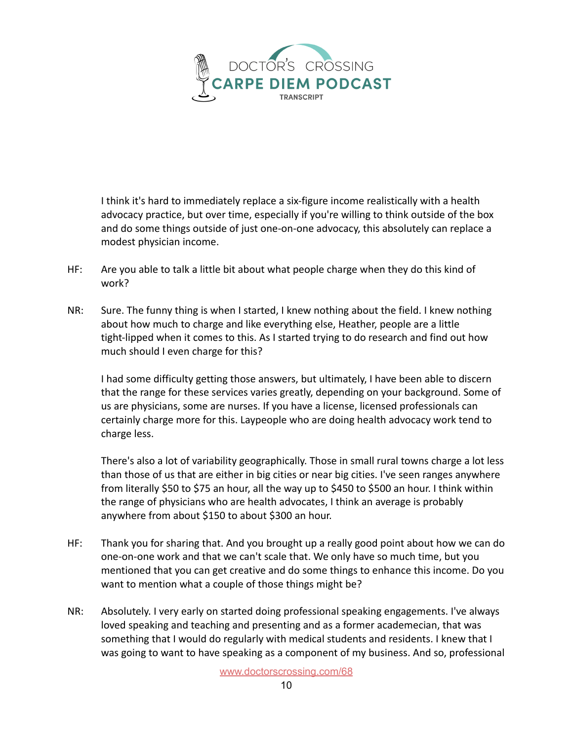

I think it's hard to immediately replace a six-figure income realistically with a health advocacy practice, but over time, especially if you're willing to think outside of the box and do some things outside of just one-on-one advocacy, this absolutely can replace a modest physician income.

- HF: Are you able to talk a little bit about what people charge when they do this kind of work?
- NR: Sure. The funny thing is when I started, I knew nothing about the field. I knew nothing about how much to charge and like everything else, Heather, people are a little tight-lipped when it comes to this. As I started trying to do research and find out how much should I even charge for this?

I had some difficulty getting those answers, but ultimately, I have been able to discern that the range for these services varies greatly, depending on your background. Some of us are physicians, some are nurses. If you have a license, licensed professionals can certainly charge more for this. Laypeople who are doing health advocacy work tend to charge less.

There's also a lot of variability geographically. Those in small rural towns charge a lot less than those of us that are either in big cities or near big cities. I've seen ranges anywhere from literally \$50 to \$75 an hour, all the way up to \$450 to \$500 an hour. I think within the range of physicians who are health advocates, I think an average is probably anywhere from about \$150 to about \$300 an hour.

- HF: Thank you for sharing that. And you brought up a really good point about how we can do one-on-one work and that we can't scale that. We only have so much time, but you mentioned that you can get creative and do some things to enhance this income. Do you want to mention what a couple of those things might be?
- NR: Absolutely. I very early on started doing professional speaking engagements. I've always loved speaking and teaching and presenting and as a former academecian, that was something that I would do regularly with medical students and residents. I knew that I was going to want to have speaking as a component of my business. And so, professional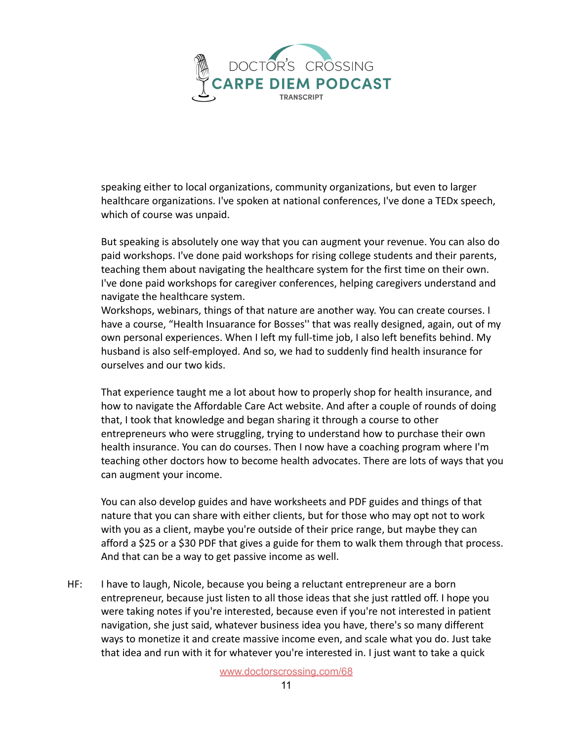

speaking either to local organizations, community organizations, but even to larger healthcare organizations. I've spoken at national conferences, I've done a TEDx speech, which of course was unpaid.

But speaking is absolutely one way that you can augment your revenue. You can also do paid workshops. I've done paid workshops for rising college students and their parents, teaching them about navigating the healthcare system for the first time on their own. I've done paid workshops for caregiver conferences, helping caregivers understand and navigate the healthcare system.

Workshops, webinars, things of that nature are another way. You can create courses. I have a course, "Health Insuarance for Bosses'' that was really designed, again, out of my own personal experiences. When I left my full-time job, I also left benefits behind. My husband is also self-employed. And so, we had to suddenly find health insurance for ourselves and our two kids.

That experience taught me a lot about how to properly shop for health insurance, and how to navigate the Affordable Care Act website. And after a couple of rounds of doing that, I took that knowledge and began sharing it through a course to other entrepreneurs who were struggling, trying to understand how to purchase their own health insurance. You can do courses. Then I now have a coaching program where I'm teaching other doctors how to become health advocates. There are lots of ways that you can augment your income.

You can also develop guides and have worksheets and PDF guides and things of that nature that you can share with either clients, but for those who may opt not to work with you as a client, maybe you're outside of their price range, but maybe they can afford a \$25 or a \$30 PDF that gives a guide for them to walk them through that process. And that can be a way to get passive income as well.

HF: I have to laugh, Nicole, because you being a reluctant entrepreneur are a born entrepreneur, because just listen to all those ideas that she just rattled off. I hope you were taking notes if you're interested, because even if you're not interested in patient navigation, she just said, whatever business idea you have, there's so many different ways to monetize it and create massive income even, and scale what you do. Just take that idea and run with it for whatever you're interested in. I just want to take a quick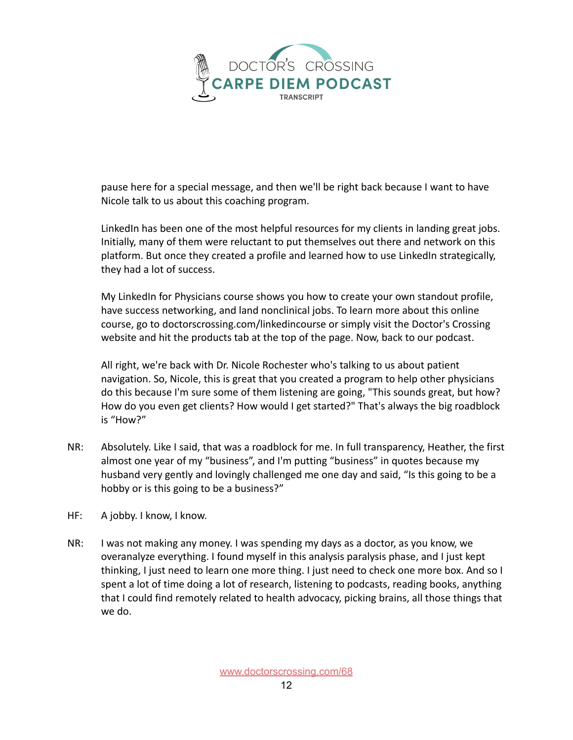

pause here for a special message, and then we'll be right back because I want to have Nicole talk to us about this coaching program.

LinkedIn has been one of the most helpful resources for my clients in landing great jobs. Initially, many of them were reluctant to put themselves out there and network on this platform. But once they created a profile and learned how to use LinkedIn strategically, they had a lot of success.

My LinkedIn for Physicians course shows you how to create your own standout profile, have success networking, and land nonclinical jobs. To learn more about this online course, go to doctorscrossing.com/linkedincourse or simply visit the Doctor's Crossing website and hit the products tab at the top of the page. Now, back to our podcast.

All right, we're back with Dr. Nicole Rochester who's talking to us about patient navigation. So, Nicole, this is great that you created a program to help other physicians do this because I'm sure some of them listening are going, "This sounds great, but how? How do you even get clients? How would I get started?" That's always the big roadblock is "How?"

- NR: Absolutely. Like I said, that was a roadblock for me. In full transparency, Heather, the first almost one year of my "business", and I'm putting "business" in quotes because my husband very gently and lovingly challenged me one day and said, "Is this going to be a hobby or is this going to be a business?"
- HF: A jobby. I know, I know.
- NR: I was not making any money. I was spending my days as a doctor, as you know, we overanalyze everything. I found myself in this analysis paralysis phase, and I just kept thinking, I just need to learn one more thing. I just need to check one more box. And so I spent a lot of time doing a lot of research, listening to podcasts, reading books, anything that I could find remotely related to health advocacy, picking brains, all those things that we do.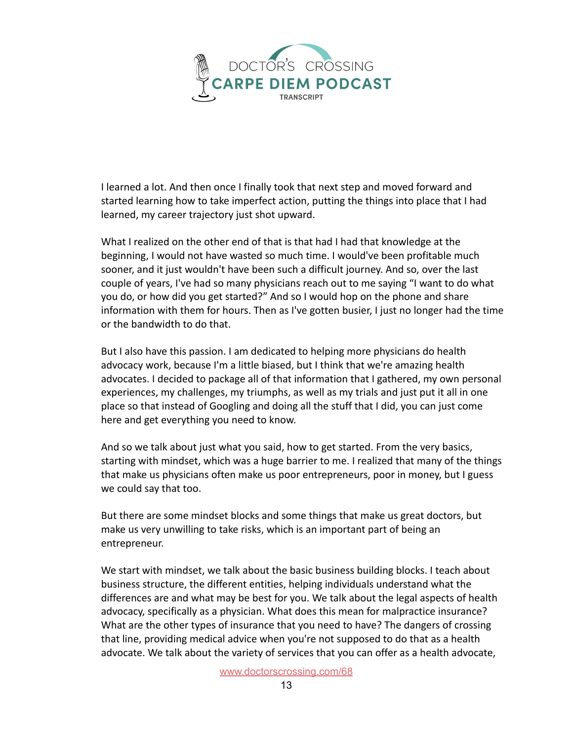

I learned a lot. And then once I finally took that next step and moved forward and started learning how to take imperfect action, putting the things into place that I had learned, my career trajectory just shot upward.

What I realized on the other end of that is that had I had that knowledge at the beginning, I would not have wasted so much time. I would've been profitable much sooner, and it just wouldn't have been such a difficult journey. And so, over the last couple of years, I've had so many physicians reach out to me saying "I want to do what you do, or how did you get started?" And so I would hop on the phone and share information with them for hours. Then as I've gotten busier, I just no longer had the time or the bandwidth to do that.

But I also have this passion. I am dedicated to helping more physicians do health advocacy work, because I'm a little biased, but I think that we're amazing health advocates. I decided to package all of that information that I gathered, my own personal experiences, my challenges, my triumphs, as well as my trials and just put it all in one place so that instead of Googling and doing all the stuff that I did, you can just come here and get everything you need to know.

And so we talk about just what you said, how to get started. From the very basics, starting with mindset, which was a huge barrier to me. I realized that many of the things that make us physicians often make us poor entrepreneurs, poor in money, but I guess we could say that too.

But there are some mindset blocks and some things that make us great doctors, but make us very unwilling to take risks, which is an important part of being an entrepreneur.

We start with mindset, we talk about the basic business building blocks. I teach about business structure, the different entities, helping individuals understand what the differences are and what may be best for you. We talk about the legal aspects of health advocacy, specifically as a physician. What does this mean for malpractice insurance? What are the other types of insurance that you need to have? The dangers of crossing that line, providing medical advice when you're not supposed to do that as a health advocate. We talk about the variety of services that you can offer as a health advocate,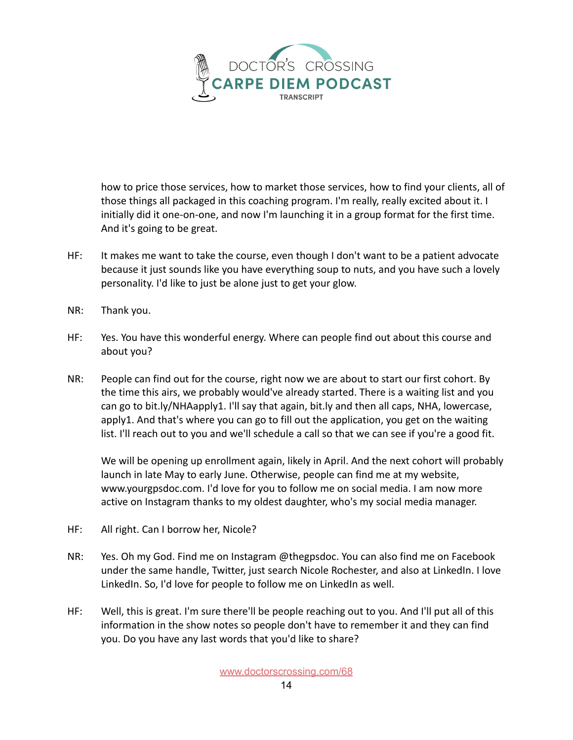

how to price those services, how to market those services, how to find your clients, all of those things all packaged in this coaching program. I'm really, really excited about it. I initially did it one-on-one, and now I'm launching it in a group format for the first time. And it's going to be great.

- HF: It makes me want to take the course, even though I don't want to be a patient advocate because it just sounds like you have everything soup to nuts, and you have such a lovely personality. I'd like to just be alone just to get your glow.
- NR: Thank you.
- HF: Yes. You have this wonderful energy. Where can people find out about this course and about you?
- NR: People can find out for the course, right now we are about to start our first cohort. By the time this airs, we probably would've already started. There is a waiting list and you can go to bit.ly/NHAapply1. I'll say that again, bit.ly and then all caps, NHA, lowercase, apply1. And that's where you can go to fill out the application, you get on the waiting list. I'll reach out to you and we'll schedule a call so that we can see if you're a good fit.

We will be opening up enrollment again, likely in April. And the next cohort will probably launch in late May to early June. Otherwise, people can find me at my website, www.yourgpsdoc.com. I'd love for you to follow me on social media. I am now more active on Instagram thanks to my oldest daughter, who's my social media manager.

- HF: All right. Can I borrow her, Nicole?
- NR: Yes. Oh my God. Find me on Instagram @thegpsdoc. You can also find me on Facebook under the same handle, Twitter, just search Nicole Rochester, and also at LinkedIn. I love LinkedIn. So, I'd love for people to follow me on LinkedIn as well.
- HF: Well, this is great. I'm sure there'll be people reaching out to you. And I'll put all of this information in the show notes so people don't have to remember it and they can find you. Do you have any last words that you'd like to share?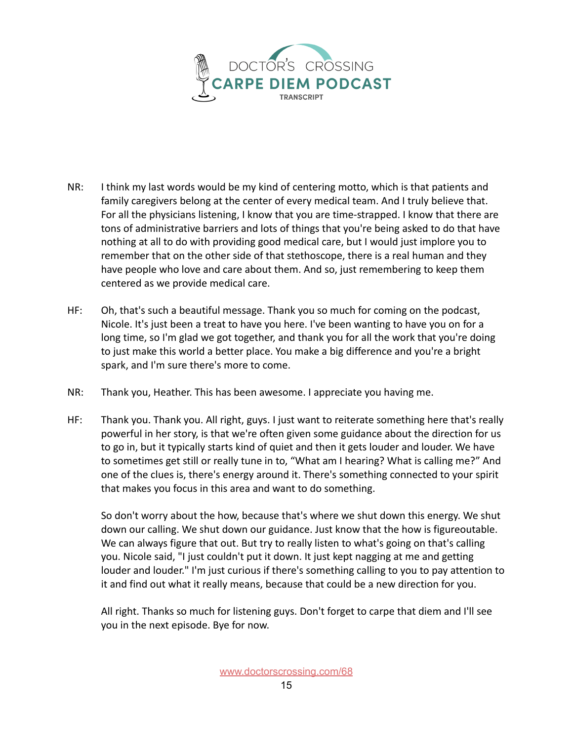

- NR: I think my last words would be my kind of centering motto, which is that patients and family caregivers belong at the center of every medical team. And I truly believe that. For all the physicians listening, I know that you are time-strapped. I know that there are tons of administrative barriers and lots of things that you're being asked to do that have nothing at all to do with providing good medical care, but I would just implore you to remember that on the other side of that stethoscope, there is a real human and they have people who love and care about them. And so, just remembering to keep them centered as we provide medical care.
- HF: Oh, that's such a beautiful message. Thank you so much for coming on the podcast, Nicole. It's just been a treat to have you here. I've been wanting to have you on for a long time, so I'm glad we got together, and thank you for all the work that you're doing to just make this world a better place. You make a big difference and you're a bright spark, and I'm sure there's more to come.
- NR: Thank you, Heather. This has been awesome. I appreciate you having me.
- HF: Thank you. Thank you. All right, guys. I just want to reiterate something here that's really powerful in her story, is that we're often given some guidance about the direction for us to go in, but it typically starts kind of quiet and then it gets louder and louder. We have to sometimes get still or really tune in to, "What am I hearing? What is calling me?" And one of the clues is, there's energy around it. There's something connected to your spirit that makes you focus in this area and want to do something.

So don't worry about the how, because that's where we shut down this energy. We shut down our calling. We shut down our guidance. Just know that the how is figureoutable. We can always figure that out. But try to really listen to what's going on that's calling you. Nicole said, "I just couldn't put it down. It just kept nagging at me and getting louder and louder." I'm just curious if there's something calling to you to pay attention to it and find out what it really means, because that could be a new direction for you.

All right. Thanks so much for listening guys. Don't forget to carpe that diem and I'll see you in the next episode. Bye for now.